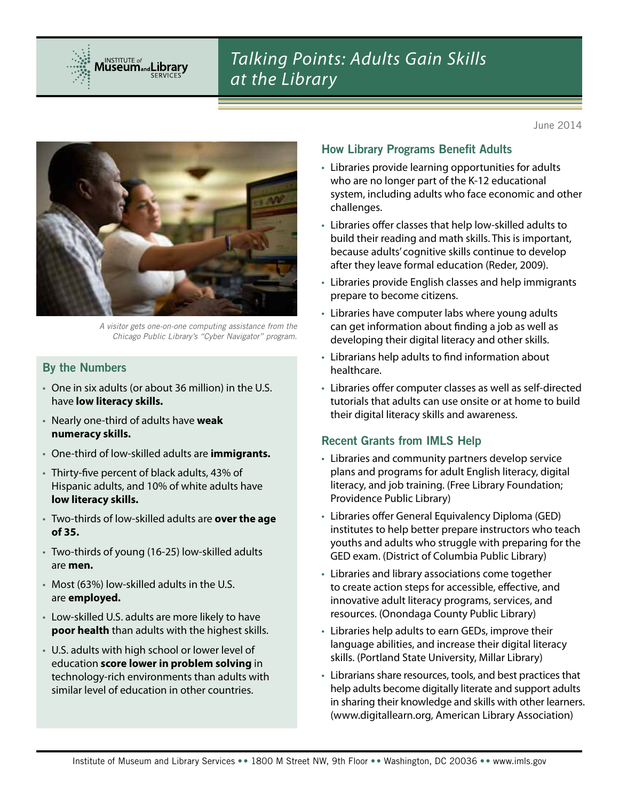

# *Talking Points: Adults Gain Skills at the Library*

June 2014



*A visitor gets one-on-one computing assistance from the Chicago Public Library's "Cyber Navigator" program.*

#### By the Numbers

- • One in six adults (or about 36 million) in the U.S. have **low literacy skills.**
- • Nearly one-third of adults have **weak numeracy skills.**
- • One-third of low-skilled adults are **immigrants.**
- Thirty-five percent of black adults, 43% of Hispanic adults, and 10% of white adults have **low literacy skills.**
- • Two-thirds of low-skilled adults are **over the age of 35.**
- • Two-thirds of young (16-25) low-skilled adults are **men.**
- Most (63%) low-skilled adults in the U.S. are **employed.**
- • Low-skilled U.S. adults are more likely to have **poor health** than adults with the highest skills.
- • U.S. adults with high school or lower level of education **score lower in problem solving** in technology-rich environments than adults with similar level of education in other countries.

#### How Library Programs Benefit Adults

- Libraries provide learning opportunities for adults who are no longer part of the K-12 educational system, including adults who face economic and other challenges.
- • Libraries offer classes that help low-skilled adults to build their reading and math skills. This is important, because adults' cognitive skills continue to develop after they leave formal education (Reder, 2009).
- • Libraries provide English classes and help immigrants prepare to become citizens.
- Libraries have computer labs where young adults can get information about finding a job as well as developing their digital literacy and other skills.
- Librarians help adults to find information about healthcare.
- • Libraries offer computer classes as well as self-directed tutorials that adults can use onsite or at home to build their digital literacy skills and awareness.

# Recent Grants from IMLS Help

- Libraries and community partners develop service plans and programs for adult English literacy, digital literacy, and job training. (Free Library Foundation; Providence Public Library)
- • Libraries offer General Equivalency Diploma (GED) institutes to help better prepare instructors who teach youths and adults who struggle with preparing for the GED exam. (District of Columbia Public Library)
- Libraries and library associations come together to create action steps for accessible, effective, and innovative adult literacy programs, services, and resources. (Onondaga County Public Library)
- • Libraries help adults to earn GEDs, improve their language abilities, and increase their digital literacy skills. (Portland State University, Millar Library)
- • Librarians share resources, tools, and best practices that help adults become digitally literate and support adults in sharing their knowledge and skills with other learners. (www.digitallearn.org, American Library Association)